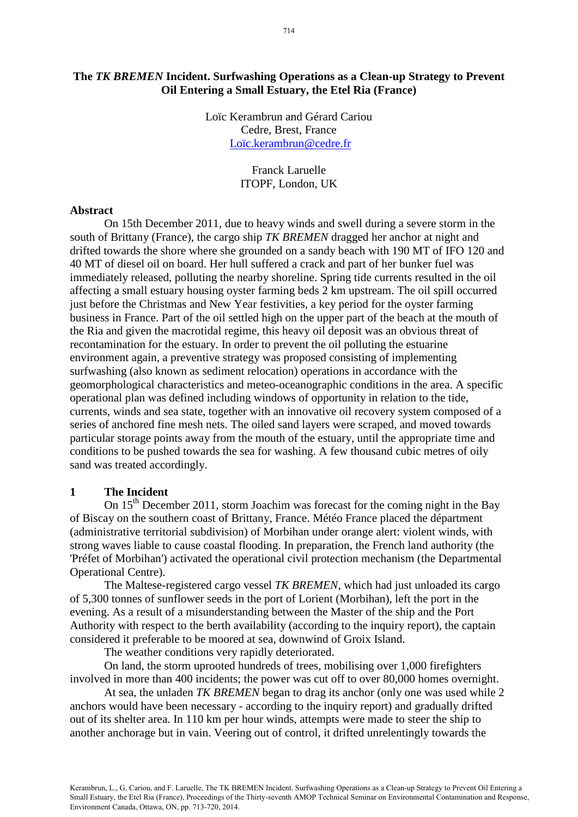# **The** *TK BREMEN* **Incident. Surfwashing Operations as a Clean-up Strategy to Prevent Oil Entering a Small Estuary, the Etel Ria (France)**

Loïc Kerambrun and Gérard Cariou Cedre, Brest, France [Loïc.kerambrun@cedre.fr](mailto:Loïc.kerambrun@cedre.fr)

> Franck Laruelle ITOPF, London, UK

#### **Abstract**

On 15th December 2011, due to heavy winds and swell during a severe storm in the south of Brittany (France), the cargo ship *TK BREMEN* dragged her anchor at night and drifted towards the shore where she grounded on a sandy beach with 190 MT of IFO 120 and 40 MT of diesel oil on board. Her hull suffered a crack and part of her bunker fuel was immediately released, polluting the nearby shoreline. Spring tide currents resulted in the oil affecting a small estuary housing oyster farming beds 2 km upstream. The oil spill occurred just before the Christmas and New Year festivities, a key period for the oyster farming business in France. Part of the oil settled high on the upper part of the beach at the mouth of the Ria and given the macrotidal regime, this heavy oil deposit was an obvious threat of recontamination for the estuary. In order to prevent the oil polluting the estuarine environment again, a preventive strategy was proposed consisting of implementing surfwashing (also known as sediment relocation) operations in accordance with the geomorphological characteristics and meteo-oceanographic conditions in the area. A specific operational plan was defined including windows of opportunity in relation to the tide, currents, winds and sea state, together with an innovative oil recovery system composed of a series of anchored fine mesh nets. The oiled sand layers were scraped, and moved towards particular storage points away from the mouth of the estuary, until the appropriate time and conditions to be pushed towards the sea for washing. A few thousand cubic metres of oily sand was treated accordingly.

### **1 The Incident**

On  $15<sup>th</sup>$  December 2011, storm Joachim was forecast for the coming night in the Bay of Biscay on the southern coast of Brittany, France. Météo France placed the départment (administrative territorial subdivision) of Morbihan under orange alert: violent winds, with strong waves liable to cause coastal flooding. In preparation, the French land authority (the 'Préfet of Morbihan') activated the operational civil protection mechanism (the Departmental Operational Centre).

The Maltese-registered cargo vessel *TK BREMEN*, which had just unloaded its cargo of 5,300 tonnes of sunflower seeds in the port of Lorient (Morbihan), left the port in the evening. As a result of a misunderstanding between the Master of the ship and the Port Authority with respect to the berth availability (according to the inquiry report), the captain considered it preferable to be moored at sea, downwind of Groix Island.

The weather conditions very rapidly deteriorated.

On land, the storm uprooted hundreds of trees, mobilising over 1,000 firefighters involved in more than 400 incidents; the power was cut off to over 80,000 homes overnight.

At sea, the unladen *TK BREMEN* began to drag its anchor (only one was used while 2 anchors would have been necessary - according to the inquiry report) and gradually drifted out of its shelter area. In 110 km per hour winds, attempts were made to steer the ship to another anchorage but in vain. Veering out of control, it drifted unrelentingly towards the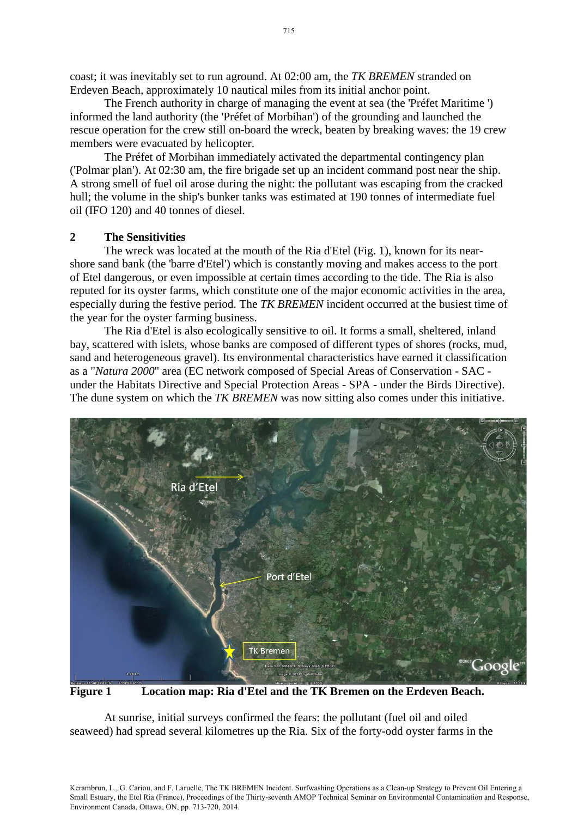coast; it was inevitably set to run aground. At 02:00 am, the *TK BREMEN* stranded on Erdeven Beach, approximately 10 nautical miles from its initial anchor point.

The French authority in charge of managing the event at sea (the 'Préfet Maritime ') informed the land authority (the 'Préfet of Morbihan') of the grounding and launched the rescue operation for the crew still on-board the wreck, beaten by breaking waves: the 19 crew members were evacuated by helicopter.

The Préfet of Morbihan immediately activated the departmental contingency plan ('Polmar plan'). At 02:30 am, the fire brigade set up an incident command post near the ship. A strong smell of fuel oil arose during the night: the pollutant was escaping from the cracked hull; the volume in the ship's bunker tanks was estimated at 190 tonnes of intermediate fuel oil (IFO 120) and 40 tonnes of diesel.

## **2 The Sensitivities**

The wreck was located at the mouth of the Ria d'Etel (Fig. 1), known for its nearshore sand bank (the 'barre d'Etel') which is constantly moving and makes access to the port of Etel dangerous, or even impossible at certain times according to the tide. The Ria is also reputed for its oyster farms, which constitute one of the major economic activities in the area, especially during the festive period. The *TK BREMEN* incident occurred at the busiest time of the year for the oyster farming business.

The Ria d'Etel is also ecologically sensitive to oil. It forms a small, sheltered, inland bay, scattered with islets, whose banks are composed of different types of shores (rocks, mud, sand and heterogeneous gravel). Its environmental characteristics have earned it classification as a "*Natura 2000*" area (EC network composed of Special Areas of Conservation - SAC under the Habitats Directive and Special Protection Areas - SPA - under the Birds Directive). The dune system on which the *TK BREMEN* was now sitting also comes under this initiative.



**Figure 1 Location map: Ria d'Etel and the TK Bremen on the Erdeven Beach.**

At sunrise, initial surveys confirmed the fears: the pollutant (fuel oil and oiled seaweed) had spread several kilometres up the Ria. Six of the forty-odd oyster farms in the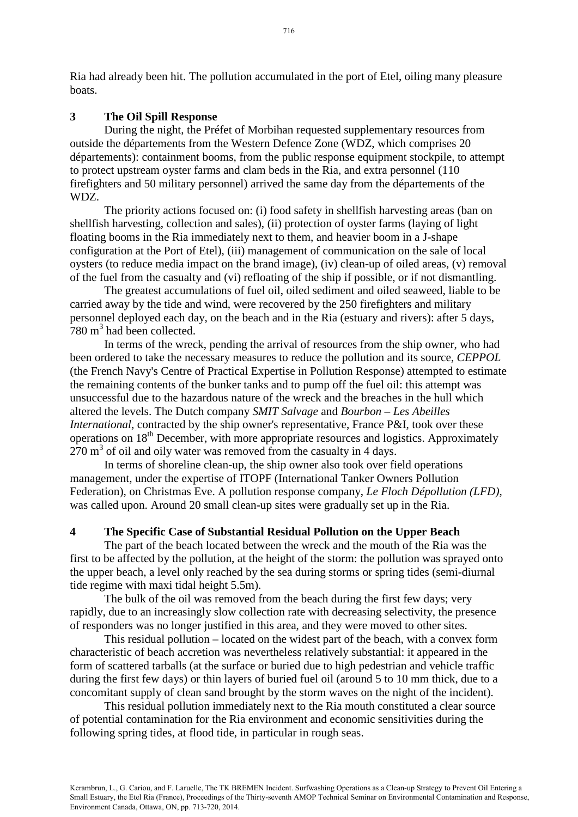Ria had already been hit. The pollution accumulated in the port of Etel, oiling many pleasure boats.

### **3 The Oil Spill Response**

During the night, the Préfet of Morbihan requested supplementary resources from outside the départements from the Western Defence Zone (WDZ, which comprises 20 départements): containment booms, from the public response equipment stockpile, to attempt to protect upstream oyster farms and clam beds in the Ria, and extra personnel (110 firefighters and 50 military personnel) arrived the same day from the départements of the WDZ.

The priority actions focused on: (i) food safety in shellfish harvesting areas (ban on shellfish harvesting, collection and sales), (ii) protection of oyster farms (laying of light floating booms in the Ria immediately next to them, and heavier boom in a J-shape configuration at the Port of Etel), (iii) management of communication on the sale of local oysters (to reduce media impact on the brand image), (iv) clean-up of oiled areas, (v) removal of the fuel from the casualty and (vi) refloating of the ship if possible, or if not dismantling.

The greatest accumulations of fuel oil, oiled sediment and oiled seaweed, liable to be carried away by the tide and wind, were recovered by the 250 firefighters and military personnel deployed each day, on the beach and in the Ria (estuary and rivers): after 5 days, 780 m<sup>3</sup> had been collected.

In terms of the wreck, pending the arrival of resources from the ship owner, who had been ordered to take the necessary measures to reduce the pollution and its source, *CEPPOL* (the French Navy's Centre of Practical Expertise in Pollution Response) attempted to estimate the remaining contents of the bunker tanks and to pump off the fuel oil: this attempt was unsuccessful due to the hazardous nature of the wreck and the breaches in the hull which altered the levels. The Dutch company *SMIT Salvage* and *Bourbon – Les Abeilles International*, contracted by the ship owner's representative, France P&I, took over these operations on  $18<sup>th</sup>$  December, with more appropriate resources and logistics. Approximately  $270 \text{ m}^3$  of oil and oily water was removed from the casualty in 4 days.

In terms of shoreline clean-up, the ship owner also took over field operations management, under the expertise of ITOPF (International Tanker Owners Pollution Federation), on Christmas Eve. A pollution response company, *Le Floch Dépollution (LFD)*, was called upon. Around 20 small clean-up sites were gradually set up in the Ria.

### **4 The Specific Case of Substantial Residual Pollution on the Upper Beach**

The part of the beach located between the wreck and the mouth of the Ria was the first to be affected by the pollution, at the height of the storm: the pollution was sprayed onto the upper beach, a level only reached by the sea during storms or spring tides (semi-diurnal tide regime with maxi tidal height 5.5m).

The bulk of the oil was removed from the beach during the first few days; very rapidly, due to an increasingly slow collection rate with decreasing selectivity, the presence of responders was no longer justified in this area, and they were moved to other sites.

This residual pollution – located on the widest part of the beach, with a convex form characteristic of beach accretion was nevertheless relatively substantial: it appeared in the form of scattered tarballs (at the surface or buried due to high pedestrian and vehicle traffic during the first few days) or thin layers of buried fuel oil (around 5 to 10 mm thick, due to a concomitant supply of clean sand brought by the storm waves on the night of the incident).

This residual pollution immediately next to the Ria mouth constituted a clear source of potential contamination for the Ria environment and economic sensitivities during the following spring tides, at flood tide, in particular in rough seas.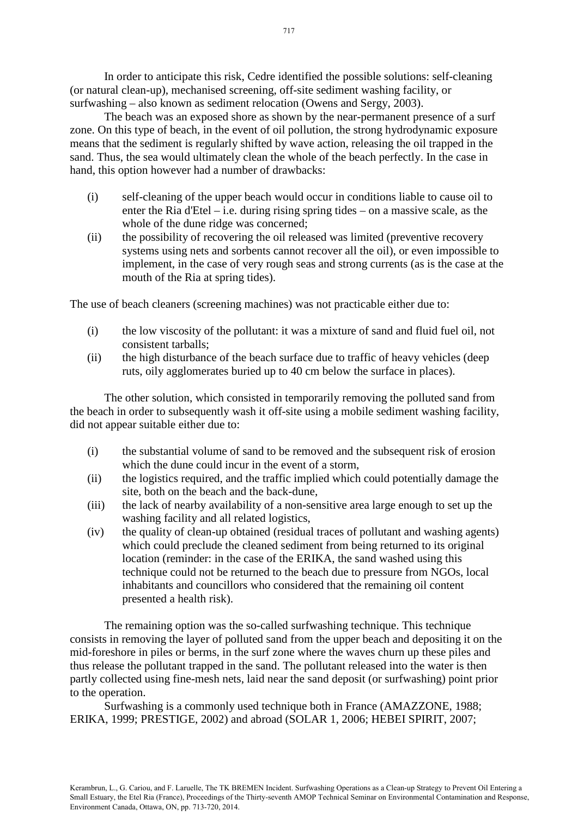In order to anticipate this risk, Cedre identified the possible solutions: self-cleaning (or natural clean-up), mechanised screening, off-site sediment washing facility, or surfwashing – also known as sediment relocation (Owens and Sergy, 2003).

The beach was an exposed shore as shown by the near-permanent presence of a surf zone. On this type of beach, in the event of oil pollution, the strong hydrodynamic exposure means that the sediment is regularly shifted by wave action, releasing the oil trapped in the sand. Thus, the sea would ultimately clean the whole of the beach perfectly. In the case in hand, this option however had a number of drawbacks:

- (i) self-cleaning of the upper beach would occur in conditions liable to cause oil to enter the Ria d'Etel – i.e. during rising spring tides – on a massive scale, as the whole of the dune ridge was concerned;
- (ii) the possibility of recovering the oil released was limited (preventive recovery systems using nets and sorbents cannot recover all the oil), or even impossible to implement, in the case of very rough seas and strong currents (as is the case at the mouth of the Ria at spring tides).

The use of beach cleaners (screening machines) was not practicable either due to:

- (i) the low viscosity of the pollutant: it was a mixture of sand and fluid fuel oil, not consistent tarballs;
- (ii) the high disturbance of the beach surface due to traffic of heavy vehicles (deep ruts, oily agglomerates buried up to 40 cm below the surface in places).

The other solution, which consisted in temporarily removing the polluted sand from the beach in order to subsequently wash it off-site using a mobile sediment washing facility, did not appear suitable either due to:

- (i) the substantial volume of sand to be removed and the subsequent risk of erosion which the dune could incur in the event of a storm,
- (ii) the logistics required, and the traffic implied which could potentially damage the site, both on the beach and the back-dune,
- (iii) the lack of nearby availability of a non-sensitive area large enough to set up the washing facility and all related logistics,
- (iv) the quality of clean-up obtained (residual traces of pollutant and washing agents) which could preclude the cleaned sediment from being returned to its original location (reminder: in the case of the ERIKA, the sand washed using this technique could not be returned to the beach due to pressure from NGOs, local inhabitants and councillors who considered that the remaining oil content presented a health risk).

The remaining option was the so-called surfwashing technique. This technique consists in removing the layer of polluted sand from the upper beach and depositing it on the mid-foreshore in piles or berms, in the surf zone where the waves churn up these piles and thus release the pollutant trapped in the sand. The pollutant released into the water is then partly collected using fine-mesh nets, laid near the sand deposit (or surfwashing) point prior to the operation.

Surfwashing is a commonly used technique both in France (AMAZZONE, 1988; ERIKA, 1999; PRESTIGE, 2002) and abroad (SOLAR 1, 2006; HEBEI SPIRIT, 2007;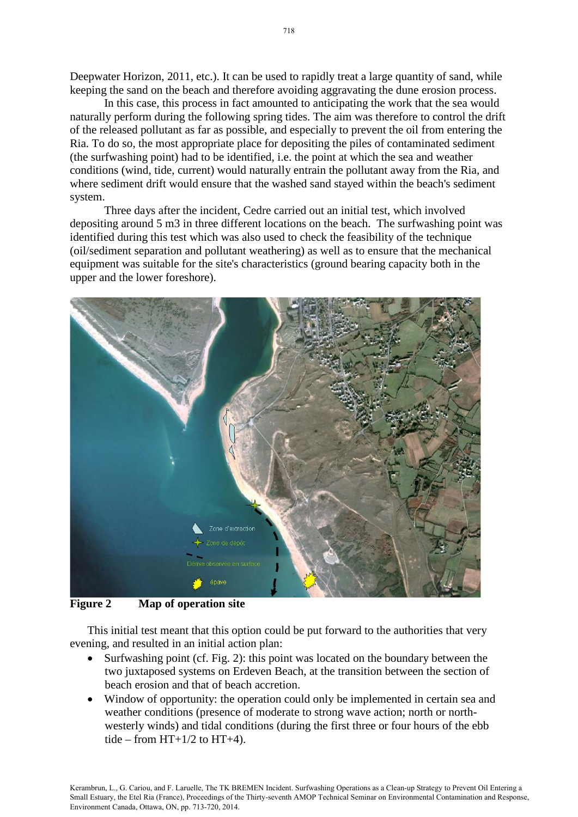Deepwater Horizon, 2011, etc.). It can be used to rapidly treat a large quantity of sand, while keeping the sand on the beach and therefore avoiding aggravating the dune erosion process.

In this case, this process in fact amounted to anticipating the work that the sea would naturally perform during the following spring tides. The aim was therefore to control the drift of the released pollutant as far as possible, and especially to prevent the oil from entering the Ria. To do so, the most appropriate place for depositing the piles of contaminated sediment (the surfwashing point) had to be identified, i.e. the point at which the sea and weather conditions (wind, tide, current) would naturally entrain the pollutant away from the Ria, and where sediment drift would ensure that the washed sand stayed within the beach's sediment system.

Three days after the incident, Cedre carried out an initial test, which involved depositing around 5 m3 in three different locations on the beach. The surfwashing point was identified during this test which was also used to check the feasibility of the technique (oil/sediment separation and pollutant weathering) as well as to ensure that the mechanical equipment was suitable for the site's characteristics (ground bearing capacity both in the upper and the lower foreshore).



**Figure 2 Map of operation site** 

This initial test meant that this option could be put forward to the authorities that very evening, and resulted in an initial action plan:

- Surfwashing point (cf. Fig. 2): this point was located on the boundary between the two juxtaposed systems on Erdeven Beach, at the transition between the section of beach erosion and that of beach accretion.
- Window of opportunity: the operation could only be implemented in certain sea and weather conditions (presence of moderate to strong wave action; north or northwesterly winds) and tidal conditions (during the first three or four hours of the ebb tide – from  $HT+1/2$  to  $HT+4$ ).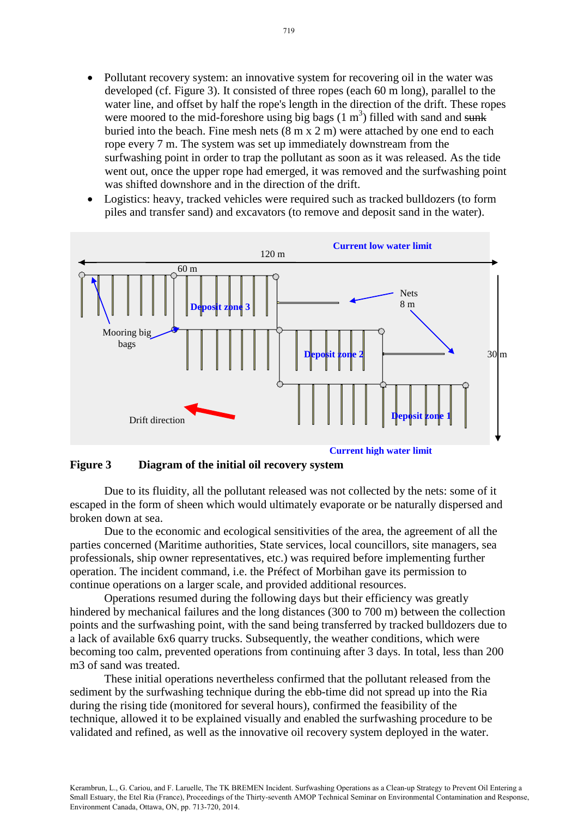- Pollutant recovery system: an innovative system for recovering oil in the water was developed (cf. Figure 3). It consisted of three ropes (each 60 m long), parallel to the water line, and offset by half the rope's length in the direction of the drift. These ropes were moored to the mid-foreshore using big bags  $(1 \text{ m}^3)$  filled with sand and sunk buried into the beach. Fine mesh nets (8 m x 2 m) were attached by one end to each rope every 7 m. The system was set up immediately downstream from the surfwashing point in order to trap the pollutant as soon as it was released. As the tide went out, once the upper rope had emerged, it was removed and the surfwashing point was shifted downshore and in the direction of the drift.
- Logistics: heavy, tracked vehicles were required such as tracked bulldozers (to form piles and transfer sand) and excavators (to remove and deposit sand in the water).



### **Figure 3 Diagram of the initial oil recovery system**

Due to its fluidity, all the pollutant released was not collected by the nets: some of it escaped in the form of sheen which would ultimately evaporate or be naturally dispersed and broken down at sea.

Due to the economic and ecological sensitivities of the area, the agreement of all the parties concerned (Maritime authorities, State services, local councillors, site managers, sea professionals, ship owner representatives, etc.) was required before implementing further operation. The incident command, i.e. the Préfect of Morbihan gave its permission to continue operations on a larger scale, and provided additional resources.

Operations resumed during the following days but their efficiency was greatly hindered by mechanical failures and the long distances (300 to 700 m) between the collection points and the surfwashing point, with the sand being transferred by tracked bulldozers due to a lack of available 6x6 quarry trucks. Subsequently, the weather conditions, which were becoming too calm, prevented operations from continuing after 3 days. In total, less than 200 m3 of sand was treated.

These initial operations nevertheless confirmed that the pollutant released from the sediment by the surfwashing technique during the ebb-time did not spread up into the Ria during the rising tide (monitored for several hours), confirmed the feasibility of the technique, allowed it to be explained visually and enabled the surfwashing procedure to be validated and refined, as well as the innovative oil recovery system deployed in the water.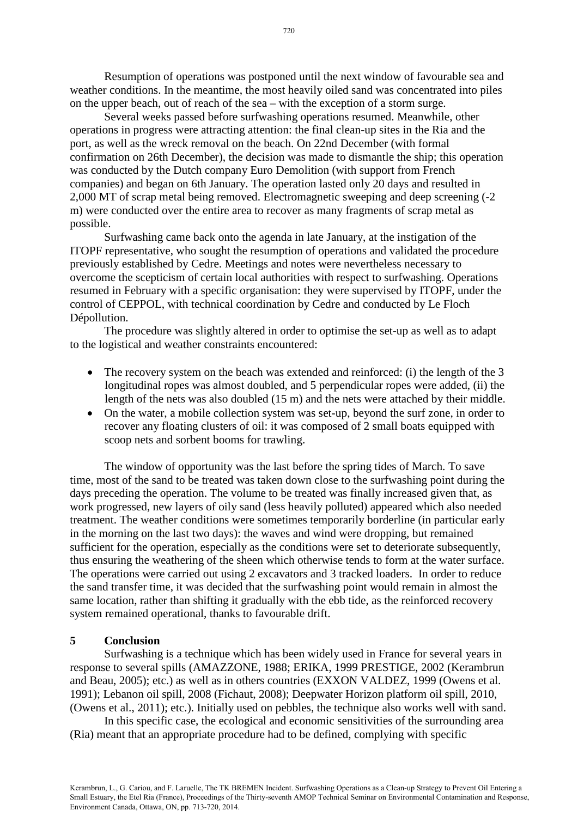Resumption of operations was postponed until the next window of favourable sea and weather conditions. In the meantime, the most heavily oiled sand was concentrated into piles on the upper beach, out of reach of the sea – with the exception of a storm surge.

Several weeks passed before surfwashing operations resumed. Meanwhile, other operations in progress were attracting attention: the final clean-up sites in the Ria and the port, as well as the wreck removal on the beach. On 22nd December (with formal confirmation on 26th December), the decision was made to dismantle the ship; this operation was conducted by the Dutch company Euro Demolition (with support from French companies) and began on 6th January. The operation lasted only 20 days and resulted in 2,000 MT of scrap metal being removed. Electromagnetic sweeping and deep screening (-2 m) were conducted over the entire area to recover as many fragments of scrap metal as possible.

Surfwashing came back onto the agenda in late January, at the instigation of the ITOPF representative, who sought the resumption of operations and validated the procedure previously established by Cedre. Meetings and notes were nevertheless necessary to overcome the scepticism of certain local authorities with respect to surfwashing. Operations resumed in February with a specific organisation: they were supervised by ITOPF, under the control of CEPPOL, with technical coordination by Cedre and conducted by Le Floch Dépollution.

The procedure was slightly altered in order to optimise the set-up as well as to adapt to the logistical and weather constraints encountered:

- The recovery system on the beach was extended and reinforced: (i) the length of the 3 longitudinal ropes was almost doubled, and 5 perpendicular ropes were added, (ii) the length of the nets was also doubled (15 m) and the nets were attached by their middle.
- On the water, a mobile collection system was set-up, beyond the surf zone, in order to recover any floating clusters of oil: it was composed of 2 small boats equipped with scoop nets and sorbent booms for trawling.

The window of opportunity was the last before the spring tides of March. To save time, most of the sand to be treated was taken down close to the surfwashing point during the days preceding the operation. The volume to be treated was finally increased given that, as work progressed, new layers of oily sand (less heavily polluted) appeared which also needed treatment. The weather conditions were sometimes temporarily borderline (in particular early in the morning on the last two days): the waves and wind were dropping, but remained sufficient for the operation, especially as the conditions were set to deteriorate subsequently, thus ensuring the weathering of the sheen which otherwise tends to form at the water surface. The operations were carried out using 2 excavators and 3 tracked loaders. In order to reduce the sand transfer time, it was decided that the surfwashing point would remain in almost the same location, rather than shifting it gradually with the ebb tide, as the reinforced recovery system remained operational, thanks to favourable drift.

#### **5 Conclusion**

Surfwashing is a technique which has been widely used in France for several years in response to several spills (AMAZZONE, 1988; ERIKA, 1999 PRESTIGE, 2002 (Kerambrun and Beau, 2005); etc.) as well as in others countries (EXXON VALDEZ, 1999 (Owens et al. 1991); Lebanon oil spill, 2008 (Fichaut, 2008); Deepwater Horizon platform oil spill, 2010, (Owens et al., 2011); etc.). Initially used on pebbles, the technique also works well with sand.

In this specific case, the ecological and economic sensitivities of the surrounding area (Ria) meant that an appropriate procedure had to be defined, complying with specific